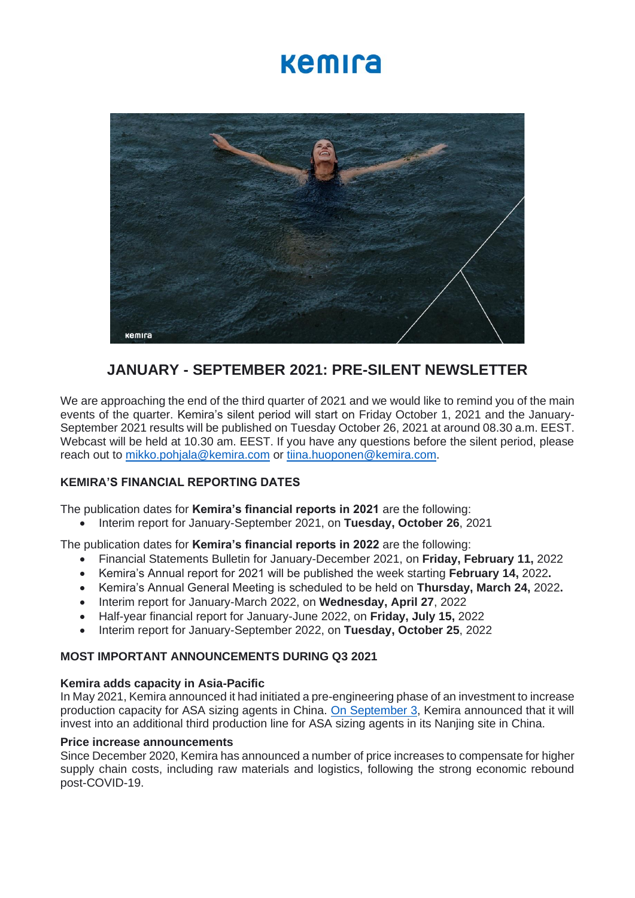# kemira



# **JANUARY - SEPTEMBER 2021: PRE-SILENT NEWSLETTER**

We are approaching the end of the third quarter of 2021 and we would like to remind you of the main events of the quarter. Kemira's silent period will start on Friday October 1, 2021 and the January-September 2021 results will be published on Tuesday October 26, 2021 at around 08.30 a.m. EEST. Webcast will be held at 10.30 am. EEST. If you have any questions before the silent period, please reach out to [mikko.pohjala@kemira.com](mailto:mikko.pohjala@kemira.com) or [tiina.huoponen@kemira.com.](mailto:tiina.huoponen@kemira.com)

### **KEMIRA'S FINANCIAL REPORTING DATES**

The publication dates for **Kemira's financial reports in 2021** are the following:

• Interim report for January-September 2021, on **Tuesday, October 26**, 2021

The publication dates for **Kemira's financial reports in 2022** are the following:

- Financial Statements Bulletin for January-December 2021, on **Friday, February 11,** 2022
- Kemira's Annual report for 2021 will be published the week starting **February 14,** 2022**.**
- Kemira's Annual General Meeting is scheduled to be held on **Thursday, March 24,** 2022**.**
- Interim report for January-March 2022, on **Wednesday, April 27**, 2022
- Half-year financial report for January-June 2022, on **Friday, July 15,** 2022
- Interim report for January-September 2022, on **Tuesday, October 25**, 2022

#### **MOST IMPORTANT ANNOUNCEMENTS DURING Q3 2021**

#### **Kemira adds capacity in Asia-Pacific**

In May 2021, Kemira announced it had initiated a pre-engineering phase of an investment to increase production capacity for ASA sizing agents in China. [On September 3,](https://www.kemira.com/company/media/newsroom/releases/kemira-invests-in-a-new-production-line-of-asa-sizing-agents-in-asia-pacific-for-paper-and-board-industry/) Kemira announced that it will invest into an additional third production line for ASA sizing agents in its Nanjing site in China.

#### **Price increase announcements**

Since December 2020, Kemira has announced a number of price increases to compensate for higher supply chain costs, including raw materials and logistics, following the strong economic rebound post-COVID-19.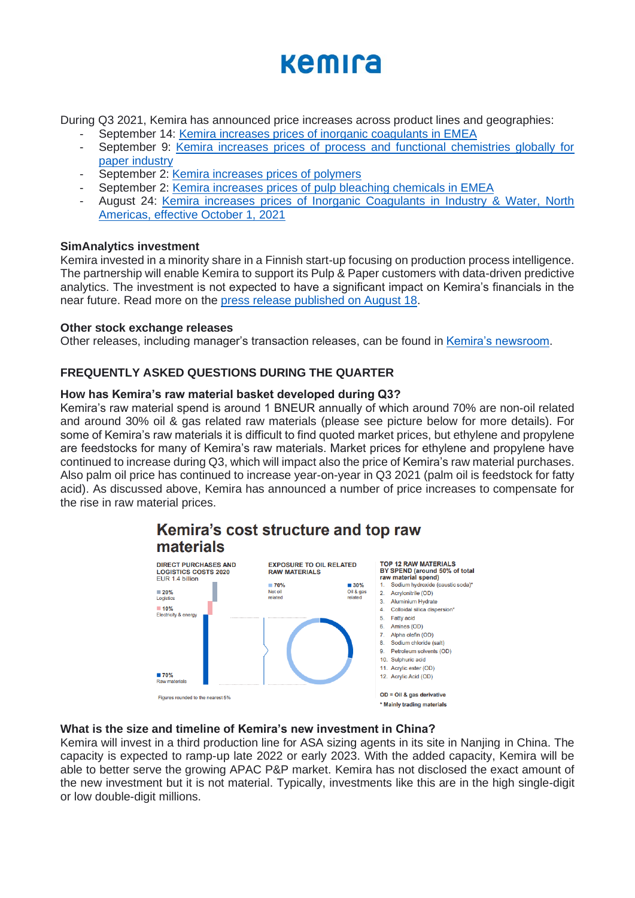# kemira

During Q3 2021, Kemira has announced price increases across product lines and geographies:

- September 14: [Kemira increases prices of inorganic coagulants in EMEA](https://www.kemira.com/company/media/newsroom/releases/kemira-increases-prices-of-inorganic-coagulants-in-emea/)
- September 9: Kemira increases prices of process and functional chemistries globally for [paper industry](https://www.kemira.com/company/media/newsroom/releases/kemira-increases-prices-of-process-and-functional-chemistries-globally-for-paper-industry/)
- September 2: [Kemira increases prices of polymers](https://www.kemira.com/company/media/newsroom/releases/kemira-increases-prices-of-polymers/)
- September 2: [Kemira increases prices of pulp bleaching chemicals in EMEA](https://www.kemira.com/company/media/newsroom/releases/kemira-increases-prices-of-pulp-bleaching-chemicals-in-emea/)
- August 24: Kemira increases prices of Inorganic Coagulants in Industry & Water, North [Americas, effective October 1, 2021](https://www.kemira.com/company/media/newsroom/releases/kemira-increases-prices-of-inorganic-coagulants-in-industry-water-north-americas-effective-october-1-2021/)

### **SimAnalytics investment**

Kemira invested in a minority share in a Finnish start-up focusing on production process intelligence. The partnership will enable Kemira to support its Pulp & Paper customers with data-driven predictive analytics. The investment is not expected to have a significant impact on Kemira's financials in the near future. Read more on the [press release](https://www.kemira.com/company/media/newsroom/releases/kemira-invests-in-simanalytics-and-advanced-production-process-intelligence/) published on August 18.

#### **Other stock exchange releases**

Other releases, including manager's transaction releases, can be found in [Kemira's newsroom.](https://www.kemira.com/company/media/newsroom/releases/kemira-oyj-announces-indicative-tender-offer-results-2/)

## **FREQUENTLY ASKED QUESTIONS DURING THE QUARTER**

### **How has Kemira's raw material basket developed during Q3?**

Kemira's raw material spend is around 1 BNEUR annually of which around 70% are non-oil related and around 30% oil & gas related raw materials (please see picture below for more details). For some of Kemira's raw materials it is difficult to find quoted market prices, but ethylene and propylene are feedstocks for many of Kemira's raw materials. Market prices for ethylene and propylene have continued to increase during Q3, which will impact also the price of Kemira's raw material purchases. Also palm oil price has continued to increase year-on-year in Q3 2021 (palm oil is feedstock for fatty acid). As discussed above, Kemira has announced a number of price increases to compensate for the rise in raw material prices.



## Kemira's cost structure and top raw materials

#### **What is the size and timeline of Kemira's new investment in China?**

Kemira will invest in a third production line for ASA sizing agents in its site in Nanjing in China. The capacity is expected to ramp-up late 2022 or early 2023. With the added capacity, Kemira will be able to better serve the growing APAC P&P market. Kemira has not disclosed the exact amount of the new investment but it is not material. Typically, investments like this are in the high single-digit or low double-digit millions.